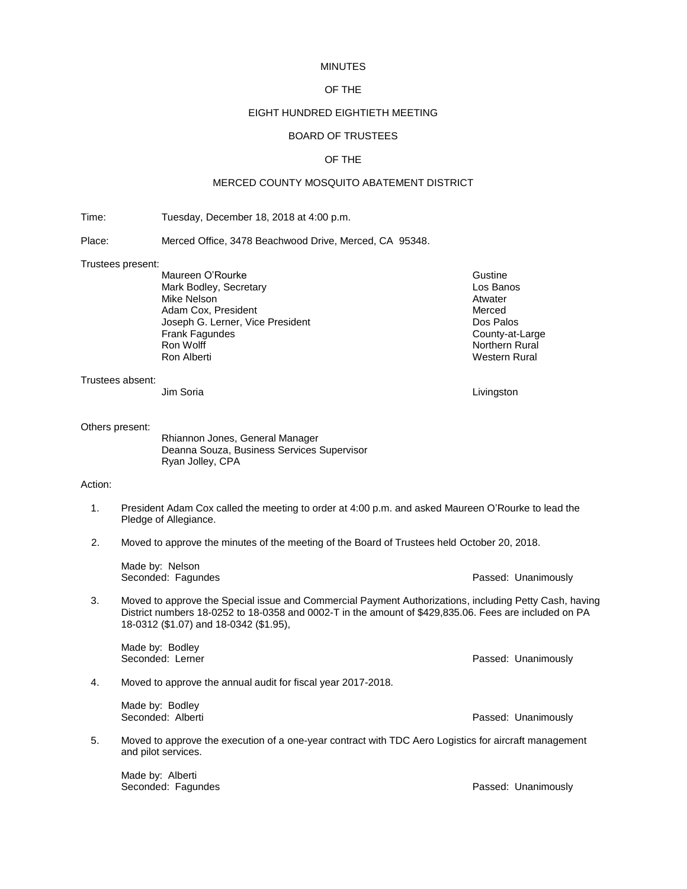#### MINUTES

## OF THE

## EIGHT HUNDRED EIGHTIETH MEETING

# BOARD OF TRUSTEES

## OF THE

## MERCED COUNTY MOSQUITO ABATEMENT DISTRICT

Time: Tuesday, December 18, 2018 at 4:00 p.m.

Place: Merced Office, 3478 Beachwood Drive, Merced, CA 95348.

#### Trustees present:

Maureen O'Rourke Gustine Gustine Gustine Gustine Mark Bodley, Secretary **Los Banos**<br>Mike Nelson Mike Nelson Mike Nelson Adam Cox, President Merced and Adam Cox, President Merced Society Adam Cox, President Adam Cox Palos<br>
Accept G. Lerner, Vice President Accept Accept Accept Accept Accept Accept Accept Accept Accept Accept Accept Joseph G. Lerner, Vice President and American proportion of Dos Palos<br>
Prank Fagundes County-at-Large Frank Fagundes<br>Ron Wolff Ron Wolff Northern Rural Northern Rural Northern Rural Northern Rural Northern Rural Northern Rural Northern Rural Northern Rural Northern Rural Northern Rural Northern Rural Northern Rural Northern Rural Northern Rural No

Trustees absent:

Jim Soria Livingston

#### Others present:

Rhiannon Jones, General Manager Deanna Souza, Business Services Supervisor Ryan Jolley, CPA

### Action:

- 1. President Adam Cox called the meeting to order at 4:00 p.m. and asked Maureen O'Rourke to lead the Pledge of Allegiance.
- 2. Moved to approve the minutes of the meeting of the Board of Trustees held October 20, 2018.

Made by: Nelson Seconded: Fagundes **Passed: Unanimously** Passed: Unanimously

3. Moved to approve the Special issue and Commercial Payment Authorizations, including Petty Cash, having District numbers 18-0252 to 18-0358 and 0002-T in the amount of \$429,835.06. Fees are included on PA 18-0312 (\$1.07) and 18-0342 (\$1.95),

Made by: Bodley Seconded: Lerner **Passed: Unanimously** Passed: Unanimously

4. Moved to approve the annual audit for fiscal year 2017-2018.

Made by: Bodley<br>Seconded: Alberti

5. Moved to approve the execution of a one-year contract with TDC Aero Logistics for aircraft management and pilot services.

Made by: Alberti<br>Seconded: Fagundes

Passed: Unanimously

Passed: Unanimously

Western Rural